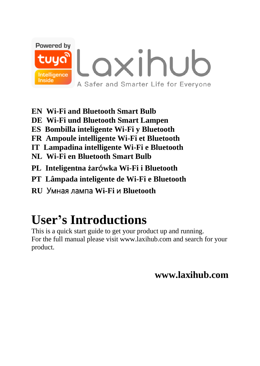

- **EN Wi-Fi and Bluetooth Smart Bulb**
- DE Wi-Fi und Bluetooth Smart Lampen
- ES Bombilla inteligente Wi-Fi y Bluetooth
- FR Ampoule intelligente Wi-Fi et Bluetooth
- IT Lampadina intelligente Wi-Fi e Bluetooth
- NL Wi-Fi en Bluetooth Smart Bulb
- PL Inteligentna żarówka Wi-Fi i Bluetooth
- PT Lâmpada inteligente de Wi-Fi e Bluetooth
- RU Умная лампа Wi-Fi и Bluetooth

# **User's Introductions**

This is a quick start guide to get your product up and running. For the full manual please visit www.laxihub.com and search for your product.

www lavihuh com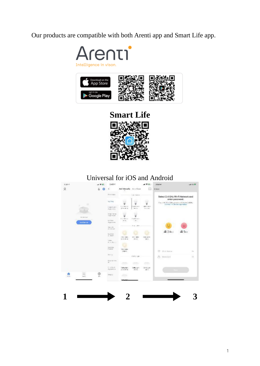Our products are compatible with both Arenti app and Smart Life app.





# **Smart Life**



# Universal for iOS and Android

| $2.37 -$                      |        | $2.43 +$                                |                                    |                          | <b>W (K)</b>                  | 2314                                                                                      | <b>WE CO PK</b> |
|-------------------------------|--------|-----------------------------------------|------------------------------------|--------------------------|-------------------------------|-------------------------------------------------------------------------------------------|-----------------|
| $\mathbf{Q}$                  | i.     | o<br>$\epsilon$                         | And Mescally Arts from<br>÷        |                          | $\Omega$                      | Conce                                                                                     |                 |
|                               |        | Privates                                | Lake Award                         |                          |                               | Select 2.4 GHz Wi-Fi Network and                                                          |                 |
| ٠<br>٠                        |        | Lup (eg)                                | ŧ                                  | ٠<br>ÿ                   | ŧ                             | enter password.<br>figure with the presentation of 240Hz.<br>Common to Jay secondar educa |                 |
|                               |        | 3. cents in concern<br><b>Assistent</b> | A Limited At<br><b>PER LOW FOR</b> | <b>Reporterad</b><br>$-$ | <b>METALES</b><br>$100 - 12$  |                                                                                           |                 |
| ALCOHOL: NOW                  |        | Stol Hype<br><b>Sopinner</b>            | w<br>٠<br><b>RAY Bry Ho</b>        | <b>FARMING</b>           |                               |                                                                                           |                 |
| <b>Sold Derrote</b>           |        | <b>Stiffen</b><br><b>Jour Avenue</b>    | pe se<br>- 35                      | " Market<br>- -          |                               |                                                                                           |                 |
|                               |        | Denutry.<br>A FINANCE                   |                                    | In a lister              |                               | U                                                                                         | ш               |
|                               |        | <b>RAIGES</b><br>d. text:               |                                    |                          |                               | <b>图 2.4c</b>                                                                             | 25.5            |
|                               |        | Siden<br>$2.421 - 1.01$                 | <b>DIGITION</b><br>in a cast of    | Driv Star<br>$-1$        | <b>DOM NOW</b><br><b>MALL</b> |                                                                                           |                 |
|                               |        | Galerie<br>Correi                       | <b>Security</b><br>19845           |                          |                               | ÷<br>hat of 1 Bulgram                                                                     | í.              |
|                               |        | <b>Barning</b>                          |                                    | Critical color           |                               | A<br>Freezow's                                                                            | w<br>co.        |
|                               |        | Staristics.<br>$\sim$                   |                                    | and the                  |                               |                                                                                           |                 |
|                               |        | $1 - 1 + 3 = 0$<br>Agentica             | Collection<br>$19.5 - 46.4$        | Gibig get<br>$-1$        | Deltra low<br>24.13           |                                                                                           | a.              |
| 岌<br>٠<br><b>STAR</b><br>3393 | ø<br>ñ | Orbert.                                 |                                    |                          |                               |                                                                                           |                 |
|                               |        |                                         |                                    |                          |                               |                                                                                           |                 |

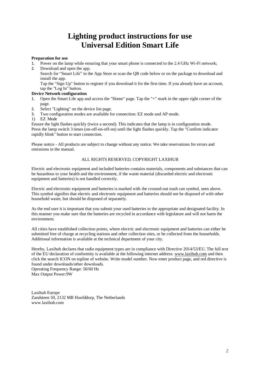# **Lighting product instructions for use Universal Edition Smart Life**

#### **Preparation for use**

- 1. Power on the lamp while ensuring that your smart phone is connected to the 2.4 GHz Wi-Fi network;
- 2. Download and open the app.

Search for "Smart Life" in the App Store or scan the QR code below or on the package to download and install the app.

Tap the "Sign Up" button to register if you download it for the first time. If you already have an account, tap the "Log In" button.

#### **Device Network configuration**

- 1. Open the Smart Life app and access the "Home" page. Tap the "+" mark in the upper right corner of the page.
- 2. Select "Lighting" on the device list page.
- 3. Two configuration modes are available for connection: EZ mode and AP mode.
- 1) EZ Mode

Ensure the light flashes quickly (twice a second). This indicates that the lamp is in configuration mode. Press the lamp switch 3 times (on-off-on-off-on) until the light flashes quickly. Tap the "Confirm indicator rapidly blink" button to start connection.

Please notice - All products are subject to change without any notice. We take reservations for errors and omissions in the manual.

### ALL RIGHTS RESERVED, COPYRIGHT LAXIHUB

Electric and electronic equipment and included batteries contains materials, components and substances that can be hazardous to your health and the environment, if the waste material (discarded electric and electronic equipment and batteries) is not handled correctly.

Electric and electronic equipment and batteries is marked with the crossed-out trash can symbol, seen above. This symbol signifies that electric and electronic equipment and batteries should not be disposed of with other household waste, but should be disposed of separately.

As the end user it is important that you submit your used batteries to the appropriate and designated facility. In this manner you make sure that the batteries are recycled in accordance with legislature and will not harm the environment.

All cities have established collection points, where electric and electronic equipment and batteries can either be submitted free of charge at recycling stations and other collection sites, or be collected from the households. Additional information is available at the technical department of your city.

Hereby, Laxihub declares that radio equipment types are in compliance with Directive 2014/53/EU. The full text of the EU declaration of conformity is available at the following internet address: www.laxihub.com and then click the search ICON on topline of website. Write model number. Now enter product page, and red directive is found under downloads/other downloads.

Operating Frequency Range: 50/60 Hz Max Output Power:9W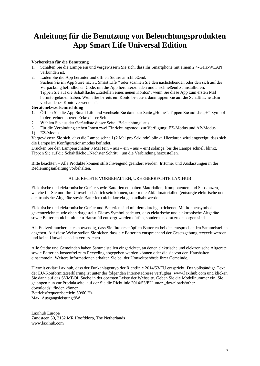# **Anleitung für die Benutzung von Beleuchtungsprodukten App Smart Life Universal Edition**

### **Vorbereiten für die Benutzung**

- 1. Schalten Sie die Lampe ein und vergewissern Sie sich, dass Ihr Smartphone mit einem 2,4-GHz-WLAN verbunden ist.
- 2. Laden Sie die App herunter und öffnen Sie sie anschließend. Suchen Sie im App Store nach " Smart Life " oder scannen Sie den nachstehenden oder den sich auf der Verpackung befindlichen Code, um die App herunterzuladen und anschließend zu installieren. Tippen Sie auf die Schaltfläche "Erstellen eines neuen Kontos", wenn Sie diese App zum ersten Mal heruntergeladen haben. Wenn Sie bereits ein Konto besitzen, dann tippen Sie auf die Schaltfläche "Ein vorhandenes Konto verwenden".

### **Gerätenetzwerkeinrichtung**

- 1. Öffnen Sie die App Smart Life und wechseln Sie dann zur Seite "Home". Tippen Sie auf das "+"-Symbol in der rechten oberen Ecke dieser Seite.
- 2. Wählen Sie aus der Geräteliste dieser Seite "Beleuchtung" aus.
- 3. Für die Verbindung stehen Ihnen zwei Einrichtungsmodi zur Verfügung: EZ-Modus und AP-Modus.
- 1) EZ-Modus

Vergewissern Sie sich, dass die Lampe schnell (2 Mal pro Sekunde) blinkt. Hierdurch wird angezeigt, dass sich die Lampe im Konfigurationsmodus befindet.

Drücken Sie den Lampenschalter 3 Mal (ein – aus – ein – aus – ein) solange, bis die Lampe schnell blinkt. Tippen Sie auf die Schaltfläche "Nächster Schritt", um die Verbindung herzustellen.

Bitte beachten – Alle Produkte können stillschweigend geändert werden. Irrtümer und Auslassungen in der Bedienungsanleitung vorbehalten.

#### ALLE RECHTE VORBEHALTEN, URHEBERRECHTE LAXIHUB

Elektrische und elektronische Geräte sowie Batterien enthalten Materialien, Komponenten und Substanzen, welche für Sie und Ihre Umwelt schädlich sein können, sofern die Abfallmaterialien (entsorgte elektrische und elektronische Altgeräte sowie Batterien) nicht korrekt gehandhabt werden.

Elektrische und elektronische Geräte und Batterien sind mit dem durchgestrichenen Mülltonnensymbol gekennzeichnet, wie oben dargestellt. Dieses Symbol bedeutet, dass elektrische und elektronische Altgeräte sowie Batterien nicht mit dem Hausmüll entsorgt werden dürfen, sondern separat zu entsorgen sind.

Als Endverbraucher ist es notwendig, dass Sie Ihre erschöpften Batterien bei den entsprechenden Sammelstellen abgeben. Auf diese Weise stellen Sie sicher, dass die Batterien entsprechend der Gesetzgebung recycelt werden und keine Umweltschäden verursachen.

Alle Städte und Gemeinden haben Sammelstellen eingerichtet, an denen elektrische und elektronische Altgeräte sowie Batterien kostenfrei zum Recycling abgegeben werden können oder die sie von den Haushalten einsammeln. Weitere Informationen erhalten Sie bei der Umweltbehörde Ihrer Gemeinde.

Hiermit erklärt Laxihub, dass der Funkanlagentyp der Richtlinie 2014/53/EU entspricht. Der vollständige Text der EU-Konformitätserklärung ist unter der folgenden Internetadresse verfügbar: www.laxihub.com und klicken Sie dann auf das SYMBOL Suche in der obersten Leiste der Webseite. Geben Sie die Modellnummer ein. Sie gelangen nun zur Produktseite, auf der Sie die Richtlinie 2014/53/EU unter "downloads/other downloads" finden können. Betriebsfrequenzbereich: 50/60 Hz Max. Ausgangsleistung:9W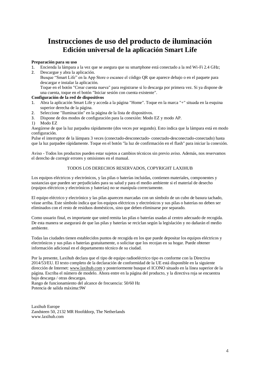# **Instrucciones de uso del producto de iluminación Edición universal de la aplicación Smart Life**

#### **Preparación para su uso**

- 1. Encienda la lámpara a la vez que se asegura que su smartphone está conectado a la red Wi-Fi 2.4 GHz;
- 2. Descargue y abra la aplicación. Busque "Smart Life" en la App Store o escanee el código QR que aparece debajo o en el paquete para descargar e instalar la aplicación. Toque en el botón "Crear cuenta nueva" para registrarse si lo descarga por primera vez. Si ya dispone de una cuenta, toque en el botón "Iniciar sesión con cuenta existente".

# **Configuración de la red de dispositivos**

- 1. Abra la aplicación Smart Life y acceda a la página "Home". Toque en la marca "+" situada en la esquina superior derecha de la página.
- 2. Seleccione "Iluminación" en la página de la lista de dispositivos.
- 3. Dispone de dos modos de configuración para la conexión: Modo EZ y modo AP.
- 1) Modo EZ

Asegúrese de que la luz parpadea rápidamente (dos veces por segundo). Esto indica que la lámpara está en modo configuración.

Pulse el interruptor de la lámpara 3 veces (conectado-desconectado- conectado-desconectado-conectado) hasta que la luz parpadee rápidamente. Toque en el botón "la luz de confirmación en el flash" para iniciar la conexión.

Aviso - Todos los productos pueden estar sujetos a cambios técnicos sin previo aviso. Además, nos reservamos el derecho de corregir errores y omisiones en el manual.

### TODOS LOS DERECHOS RESERVADOS, COPYRIGHT LAXIHUB

Los equipos eléctricos y electrónicos, y las pilas o baterías incluidas, contienen materiales, componentes y sustancias que pueden ser perjudiciales para su salud y para el medio ambiente si el material de desecho (equipos eléctricos y electrónicos y baterías) no se manipula correctamente.

El equipo eléctrico y electrónico y las pilas aparecen marcadas con un símbolo de un cubo de basura tachado, véase arriba. Este símbolo indica que los equipos eléctricos y electrónicos y sus pilas o baterías no deben ser eliminados con el resto de residuos domésticos, sino que deben eliminarse por separado.

Como usuario final, es importante que usted remita las pilas o baterías usadas al centro adecuado de recogida. De esta manera se asegurará de que las pilas y baterías se reciclan según la legislación y no dañarán el medio ambiente.

Todas las ciudades tienen establecidos puntos de recogida en los que puede depositar los equipos eléctricos y electrónicos y sus pilas o baterías gratuitamente, o solicitar que los recojan en su hogar. Puede obtener información adicional en el departamento técnico de su ciudad.

Por la presente, Laxihub declara que el tipo de equipo radioeléctrico tipo es conforme con la Directiva 2014/53/EU. El texto completo de la declaración de conformidad de la UE está disponible en la siguiente dirección de Internet: www.laxihub.com y posteriormente busque el ICONO situado en la línea superior de la página. Escriba el número de modelo. Ahora entre en la página del producto, y la directiva roja se encuentra bajo descarga / otras descargas.

Rango de funcionamiento del alcance de frecuencia: 50/60 Hz Potencia de salida máxima:9W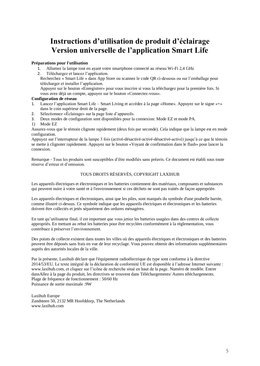# **Instructions d'utilisation de produit d'éclairage Version universelle de l'application Smart Life**

### **Préparations pour l'utilisation**

- 1. Allumez la lampe tout en ayant votre smartphone connecté au réseau Wi-Fi 2,4 GHz
- 2. Téléchargez et lancez l'application.
- Recherchez «Smart Life » dans App Store ou scannez le code QR ci-dessous ou sur l'emballage pour télécharger et installer l'application.

Appuyez sur le bouton «Enregistrer» pour vous inscrire si vous la téléchargez pour la première fois. Si vous avez déjà un compte, appuyez sur le bouton «Connectez-vous».

# **Configuration de réseau**

- 1. Lancez l'application Smart Life Smart Living et accédez à la page «Home». Appuyez sur le signe «+» dans le coin supérieur droit de la page.
- 2. Sélectionnez «Éclairage» sur la page liste d'appareils.
- 3. Deux modes de configuration sont disponibles pour la connexion: Mode EZ et mode PA.
- 1) Mode EZ

Assurez-vous que le témoin clignote rapidement (deux fois par seconde). Cela indique que la lampe est en mode configuration.

Appuyez sur l'interrupteur de la lampe 3 fois (activé-désactivé-activé-désactivé-activé) jusqu'à ce que le témoin se mette à clignoter rapidement. Appuyez sur le bouton «Voyant de confirmation dans le flash»pour lancer la connexion.

Remarque - Tous les produits sont susceptibles d'être modifiés sans préavis. Ce document est établi sous toute réserve d'erreur et d'omission.

#### TOUS DROITS RÉSERVÉS, COPYRIGHT LAXIHUB

Les appareils électriques et électroniques et les batteries contiennent des matériaux, composants et substances qui peuvent nuire à votre santé et à l'environnement si ces déchets ne sont pas traités de façon appropriée.

Les appareils électriques et électroniques, ainsi que les piles, sont marqués du symbole d'une poubelle barrée, comme illustré ci-dessus. Ce symbole indique que les appareils électriques et électroniques et les batteries doivent être collectés et jetés séparément des ordures ménagères.

En tant qu'utilisateur final, il est important que vous jetiez les batteries usagées dans des centres de collecte appropriés. En mettant au rebut les batteries pour être recyclées conformément à la règlementation, vous contribuez à préserver l'environnement.

Des points de collecte existent dans toutes les villes où des appareils électriques et électroniques et des batteries peuvent être déposés sans frais en vue de leur recyclage. Vous pouvez obtenir des informations supplémentaires auprès des autorités locales de la ville.

Par la présente, Laxihub déclare que l'équipement radioélectrique du type sont conforme à la directive 2014/53/EU. Le texte intégral de la déclaration de conformité UE est disponible à l'adresse Internet suivante : www.laxihub.com, et cliquez sur l'icône de recherche situé en haut de la page. Numéro de modèle. Entrer dansAllez à la page du produit, les directives se trouvent dans Téléchargements/ Autres téléchargements. Plage de fréquence de fonctionnement : 50/60 Hz Puissance de sortie maximale :9W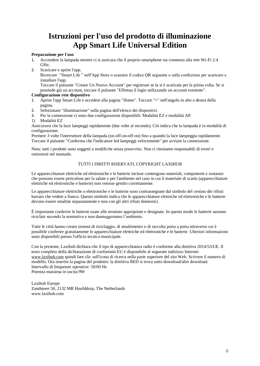# **Istruzioni per l'uso del prodotto di illuminazione App Smart Life Universal Edition**

#### **Preparazione per l'uso**

- 1. Accendere la lampada mentre ci si assicura che il proprio smartphone sia connesso alla rete Wi-Fi 2.4 GHz;
- 2. Scaricare e aprire l'app.

Ricercare "Smart Life " nell'App Store o scansire il codice QR seguente o sulla confezione per scaricare e installare l'app.

Toccare il pulsante "Creare Un Nuovo Account" per registrare se la si è scaricata per la prima volta. Se si possiede già un account, toccare il pulsante "Effettua il login utilizzando un account esistente".

### **Configurazione rete dispositivo**

- 1. Aprire l'app Smart Life e accedere alla pagina "Home". Toccare "+" nell'angolo in alto a destra della pagina.
- 2. Selezionare "illuminazione" sulla pagina dell'elenco dei dispositivi.
- 3. Per la connessione ci sono due configurazioni disponibili: Modalità EZ e modalità AP.
- 1) Modalità EZ

Assicurarsi che la luce lampeggi rapidamente (due volte al secondo). Ciò indica che la lampada è in modalità di configurazione.

Premere 3 volte l'interruttore della lampada (on-off-on-off-on) fino a quando la luce lampeggia rapidamente. Toccare il pulsante "Conferma che l'indicatore led lampeggi velocemente" per avviare la connessione.

Nota: tutti i prodotti sono soggetti a modifiche senza preavviso. Non ci riteniamo responsabili di errori e omissioni nel manuale.

### TUTTI I DIRITTI RISERVATI, COPYRIGHT LAXIHUB

Le apparecchiature elettriche ed elettroniche e le batterie incluse contengono materiali, componenti e sostanze che possono essere pericolose per la salute e per l'ambiente nel caso in cui il materiale di scarto (apparecchiature elettriche ed elettroniche e batterie) non venisse gestito correttamente.

Le apparecchiature elettriche o elettroniche e le batterie sono contrassegnate dal simbolo del cestino dei rifiuti barrato che vedete a fianco. Questo simbolo indica che le apparecchiature elettriche ed elettroniche e le batterie devono essere smaltite separatamente e non con gli altri rifiuti domestici.

È importante conferire le batterie usate alle strutture appropriate e designate. In questo modo le batterie saranno riciclate secondo la normativa e non danneggeranno l'ambiente.

Tutte le città hanno creato sistemi di riciclaggio, di smaltimento o di raccolta porta a porta attraverso cui è possibile conferire gratuitamente le apparecchiature elettriche ed elettroniche e le batterie. Ulteriori informazioni sono disponibili presso l'ufficio tecnico municipale.

Con la presente, Laxihub dichiara che il tipo di apparecchiatura radio è conforme alla direttiva 2014/53/UE. Il testo completo della dichiarazione di conformità EU è disponibile al seguente indirizzo Internet: www.laxihub.com quindi fare clic sull'icona di ricerca nella parte superiore del sito Web. Scrivere il numero di modello. Ora inserire la pagina del prodotto: la direttiva RED si trova sotto download/altri download. Intervallo di frequenze operative: 50/60 Hz Potenza massima in uscita:9W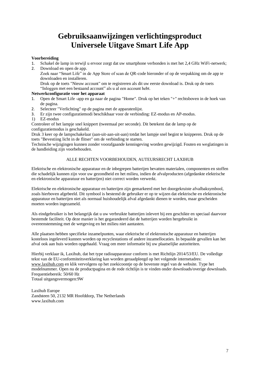# **Gebruiksaanwijzingen verlichtingsproduct Universele Uitgave Smart Life App**

#### **Voorbereiding**

- 1. Schakel de lamp in terwijl u ervoor zorgt dat uw smartphone verbonden is met het 2,4 GHz WiFi-netwerk;
- 2. Download en open de app. Zoek naar "Smart Life" in de App Store of scan de QR-code hieronder of op de verpakking om de app te downloaden en installeren.

Druk op de toets "Nieuw account" om te registreren als dit uw eerste download is. Druk op de toets "Inloggen met een bestaand account" als u al een account hebt.

#### **Netwerkconfiguratie voor het apparaat**

- 1. Open de Smart Life -app en ga naar de pagina "Home". Druk op het teken "+" rechtsboven in de hoek van de pagina.
- 2. Selecteer "Verlichting" op de pagina met de apparatenlijst.
- 3. Er zijn twee configuratiemodi beschikbaar voor de verbinding: EZ-modus en AP-modus.
- 1) EZ-modus

Controleer of het lampje snel knippert (tweemaal per seconde). Dit betekent dat de lamp op de configuratiemodus is geschakeld.

Druk 3 keer op de lampschakelaar (aan-uit-aan-uit-aan) totdat het lampje snel begint te knipperen. Druk op de toets "Bevestiing licht in de flitser" om de verbinding te starten.

Technische wijzigingen kunnen zonder voorafgaande kennisgeving worden gewijzigd. Fouten en weglatingen in de handleiding zijn voorbehouden.

### ALLE RECHTEN VOORBEHOUDEN, AUTEURSRECHT LAXIHUB

Elektrische en elektronische apparatuur en de inbegrepen batterijen bevatten materialen, componenten en stoffen die schadelijk kunnen zijn voor uw gezondheid en het milieu, indien de afvalproducten (afgedankte elektrische en elektronische apparatuur en batterijen) niet correct worden verwerkt.

Elektrische en elektronische apparatuur en batterijen zijn gemarkeerd met het doorgekruiste afvalbaksymbool, zoals hierboven afgebeeld. Dit symbool is bestemd de gebruiker er op te wijzen dat elektrische en elektronische apparatuur en batterijen niet als normaal huishoudelijk afval afgedankt dienen te worden, maar gescheiden moeten worden ingezameld.

Als eindgebruiker is het belangrijk dat u uw verbruikte batterijen inlevert bij een geschikte en speciaal daarvoor bestemde faciliteit. Op deze manier is het gegarandeerd dat de batterijen worden hergebruikt in overeenstemming met de wetgeving en het milieu niet aantasten.

Alle plaatsen hebben specifieke inzamelpunten, waar elektrische of elektronische apparatuur en batterijen kosteloos ingeleverd kunnen worden op recyclestations of andere inzamellocaties. In bepaalde gevallen kan het afval ook aan huis worden opgehaald. Vraag om meer informatie bij uw plaatselijke autoriteiten.

Hierbij verklaar ik, Laxihub, dat het type radioapparatuur conform is met Richtlijn 2014/53/EU. De volledige tekst van de EU-conformiteitsverklaring kan worden geraadpleegd op het volgende internetadres: www.laxihub.com en klik vervolgens op het zoekicoontje op de bovenste regel van de website. Type het modelnummer. Open nu de productpagina en de rode richtlijn is te vinden onder downloads/overige downloads. Frequentiebereik: 50/60 Hz Totaal uitgangsvermogen:9W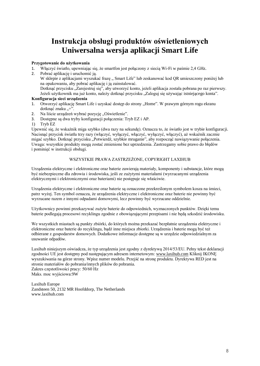# **Instrukcja obsługi produktów oświetleniowych Uniwersalna wersja aplikacji Smart Life**

#### **Przygotowanie do użytkowania**

- 1. Włączyć światło, upewniając się, że smartfon jest połączony z siecią Wi-Fi w paśmie 2,4 GHz.
- 2. Pobrać aplikację i uruchomić ją. W sklepie z aplikacjami wyszukać frazę " Smart Life" lub zeskanować kod QR umieszczony poniżej lub na opakowaniu, aby pobrać aplikację i ją zainstalować. Dotknąć przycisku "Zarejestruj się", aby utworzyć konto, jeżeli aplikacja została pobrana po raz pierwszy. Jeżeli użytkownik ma już konto, należy dotknąć przycisku "Zaloguj się używając istniejącego konta". **Konfiguracja sieci urządzenia**
- 1. Otworzyć aplikację Smart Life i uzyskać dostęp do strony "Home". W prawym górnym rogu ekranu dotknąć znaku "+"
- 2. Na liście urządzeń wybrać pozycję "Oświetlenie".
- 3. Dostępne są dwa tryby konfiguracji połączenia: Tryb EZ i AP.
- 1) Tryb EZ

Upewnić się, że wskaźnik miga szybko (dwa razy na sekundę). Oznacza to, że światło jest w trybie konfiguracji. Nacisnąć przycisk światła trzy razy (włączyć, wyłączyć, włączyć, wyłączyć, włączyć), aż wskaźnik zacznie migać szybko. Dotknąć przycisku "Potwierdź, szybkie mruganie", aby rozpocząć nawiązywanie połączenia. Uwaga: wszystkie produkty mogą zostać zmienione bez uprzedzenia. Zastrzegamy sobie prawo do błędów i pominięć w instrukcji obsługi.

### WSZYSTKIE PRAWA ZASTRZEŻONE, COPYRIGHT LAXIHUB

Urządzenia elektryczne i elektroniczne oraz baterie zawierają materiały, komponenty i substancje, które mogą być niebezpieczne dla zdrowia i środowiska, jeśli ze zużytymi materiałami (wyrzucanymi urządzenia elektrycznymi i elektronicznymi oraz bateriami) nie postępuje się właściwie.

Urządzenia elektryczne i elektroniczne oraz baterie są oznaczone przekreślonym symbolem kosza na śmieci, patrz wyżej. Ten symbol oznacza, że urządzenia elektryczne i elektroniczne oraz baterie nie powinny być wyrzucane razem z innymi odpadami domowymi, lecz powinny być wyrzucane oddzielnie.

Użytkownicy powinni przekazywać zużyte baterie do odpowiednich, wyznaczonych punktów. Dzięki temu baterie podlegają procesowi recyklingu zgodnie z obowiązującymi przepisami i nie będą szkodzić środowisku.

We wszystkich miastach są punkty zbiórki, do których można przekazać bezpłatnie urządzenia elektryczne i elektroniczne oraz baterie do recyklingu, bądź inne miejsca zbiorki. Urządzenia i baterie mogą być też odbierane z gospodarstw domowych. Dodatkowe informacje dostępne są w urzędzie odpowiedzialnym za usuwanie odpadów.

Laxihub niniejszym oświadcza, że typ urządzenia jest zgodny z dyrektywą 2014/53/EU. Pełny tekst deklaracji zgodności UE jest dostępny pod następującym adresem internetowym: www.laxihub.com Kliknij IKONĘ wyszukiwania na górze strony. Wpisz numer modelu. Przejść na stronę produktu. Dyrektywa RED jest na stronie materiałów do pobrania/innych plików do pobrania.

Zakres częstotliwości pracy: 50/60 Hz Maks. moc wyjściowa:9W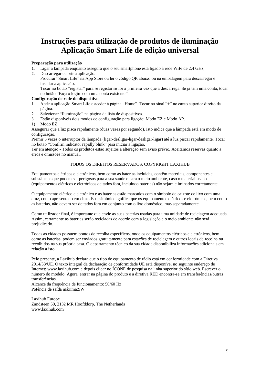# **Instruções para utilização de produtos de iluminação Aplicação Smart Life de edição universal**

### **Preparação para utilização**

- 1. Ligar a lâmpada enquanto assegura que o seu smartphone está ligado à rede WiFi de 2,4 GHz;
- 2. Descarregar e abrir a aplicação.
	- Procurar "Smart Life" na App Store ou ler o código QR abaixo ou na embalagem para descarregar e instalar a aplicação.

Tocar no botão "registar" para se registar se for a primeira vez que a descarrega. Se já tem uma conta, tocar no botão "Faça o login com uma conta existente".

# **Configuração de rede do dispositivo**

- 1. Abrir a aplicação Smart Life e aceder à página "Home". Tocar no sinal "+" no canto superior direito da página.
- 2. Selecionar "Iluminação" na página da lista de dispositivos.
- 3. Estão disponíveis dois modos de configuração para ligação: Modo EZ e Modo AP.
- 1) Modo EZ

Assegurar que a luz pisca rapidamente (duas vezes por segundo). Isto indica que a lâmpada está em modo de configuração.

Premir 3 vezes o interruptor da lâmpada (ligar-desligar-ligar-desligar-ligar) até a luz piscar rapidamente. Tocar no botão "Confirm indicator rapidly blink" para iniciar a ligação.

Ter em atenção - Todos os produtos estão sujeitos a alteração sem aviso prévio. Aceitamos reservas quanto a erros e omissões no manual.

#### TODOS OS DIREITOS RESERVADOS, COPYRIGHT LAXIHUB

Equipamentos elétricos e eletrónicos, bem como as baterias incluídas, contêm materiais, componentes e substâncias que podem ser perigosos para a sua saúde e para o meio ambiente, caso o material usado (equipamentos elétricos e eletrónicos deitados fora, incluindo baterias) não sejam eliminados corretamente.

O equipamento elétrico e eletrónico e as baterias estão marcados com o símbolo de caixote de lixo com uma cruz, como apresentado em cima. Este símbolo significa que os equipamentos elétricos e eletrónicos, bem como as baterias, não devem ser deitados fora em conjunto com o lixo doméstico, mas separadamente.

Como utilizador final, é importante que envie as suas baterias usadas para uma unidade de reciclagem adequada. Assim, certamente as baterias serão recicladas de acordo com a legislação e o meio ambiente não será prejudicado.

Todas as cidades possuem pontos de recolha específicos, onde os equipamentos elétricos e eletrónicos, bem como as baterias, podem ser enviados gratuitamente para estações de reciclagem e outros locais de recolha ou recolhidos na sua própria casa. O departamento técnico da sua cidade disponibiliza informações adicionais em relação a isto.

Pelo presente, a Laxihub declara que o tipo de equipamento de rádio está em conformidade com a Diretiva 2014/53/UE. O texto integral da declaração de conformidade UE está disponível no seguinte endereço de Internet: www.laxihub.com e depois clicar no ÍCONE de pesquisa na linha superior do sítio web. Escrever o número do modelo. Agora, entrar na página do produto e a diretiva RED encontra-se em transferências/outras transferências.

Alcance da frequência de funcionamento: 50/60 Hz Potência de saída máxima:9W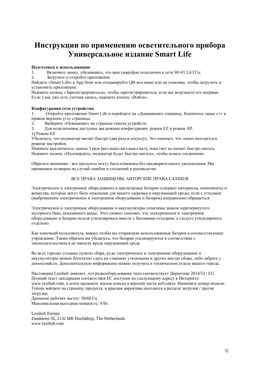# Инструкции по применению осветительного прибора Универсальное излание Smart Life

#### Полготовка к использованию

Включите лампу, убедившись, что ваш смартфон подключен к сети Wi-Fi 2,4 ГГц;  $\mathbf{1}$ 

Загрузите и откройте приложение.

Hайдите «Smart Life» в App Store или отсканируйте QR-код ниже или на упаковке, чтобы загрузить и установить приложение.

Нажмите кнопку «Зарегистрироваться», чтобы зарегистрироваться, если вы загружаете его впервые. Если у вас уже есть учетная запись, нажмите кнопку «Войти».

#### Конфигурация сети устройства

Откройте приложение Smart Life и перейлите на «Ломашнюю» страницу. Коснитесь знака «+» в 1. правом верхнем углу страницы.

Выберите «Освещение» на странице списка устройств.

 $\mathbf{R}$ Для подключения доступны два режима конфигурации: режим EZ и режим AP. 1) Режим EZ

Убедитесь, что индикатор мигает быстро (два раза в секунду). Это означает, что лампа находится в режиме настройки.

Нажмите выключатель лампы 3 раза (вкл-выкл-вкл-выкл-вкл), пока свет не начнет быстро мигать. Нажмите кнопку «Подтвердить, индикатор будет быстро мигать», чтобы начать соединение.

Обратите внимание - все продукты могут быть изменены без предварительного уведомления. Мы принимаем оговорки на случай ошибок и упущений в руководстве.

### ВСЕ ПРАВА ЗАЩИЩЕНЫ, АВТОРСКИЕ ПРАВА LAXIHUB

Электрическое и электронное оборудование и прилагаемые батареи содержат материалы, компоненты и вещества, которые могут быть опасными для вашего здоровья и окружающей среды, если с отходами (выброшенное электрическое и электронное оборудование и батареи) неправильно обращаться.

Электрическое и электронное оборудование и аккумуляторы помечены знаком перечеркнутого мусорного бака, показанного выше. Этот символ означает, что электрическое и электронное оборудование и батареи нельзя утилизировать вместе с бытовыми отходами, а следует утилизировать отдельно.

Как конечный пользователь, важно, чтобы вы отправляли использованные батареи в соответствующее учреждение. Таким образом вы убедитесь, что батареи утилизируются в соответствии с законодательством и не наносят вреда окружающей среде.

Во всех городах созданы пункты сбора, куда электрическое и электронное оборудование и аккумуляторы можно бесплатно сдать на станциях утилизации и других местах сбора, либо забрать у домохозяйств. Дополнительную информацию можно получить в техническом отделе вашего города.

Настоящим Laxihub заявляет, что радиооборудование типа соответствует Директиве 2014/53 / EU. Полный текст декларации соответствия ЕС доступен по следующему адресу в Интернете: www.laxihub.com, а затем щелкните значок поиска в верхней части веб-сайта. Напишите номер модели. Теперь войдите на страницу продукта, и красная директива находится в разделе загрузки / другие загрузки. Лиапазон рабочих частот: 50/60 Гц

Максимальная выходная мощность: 9 Вт